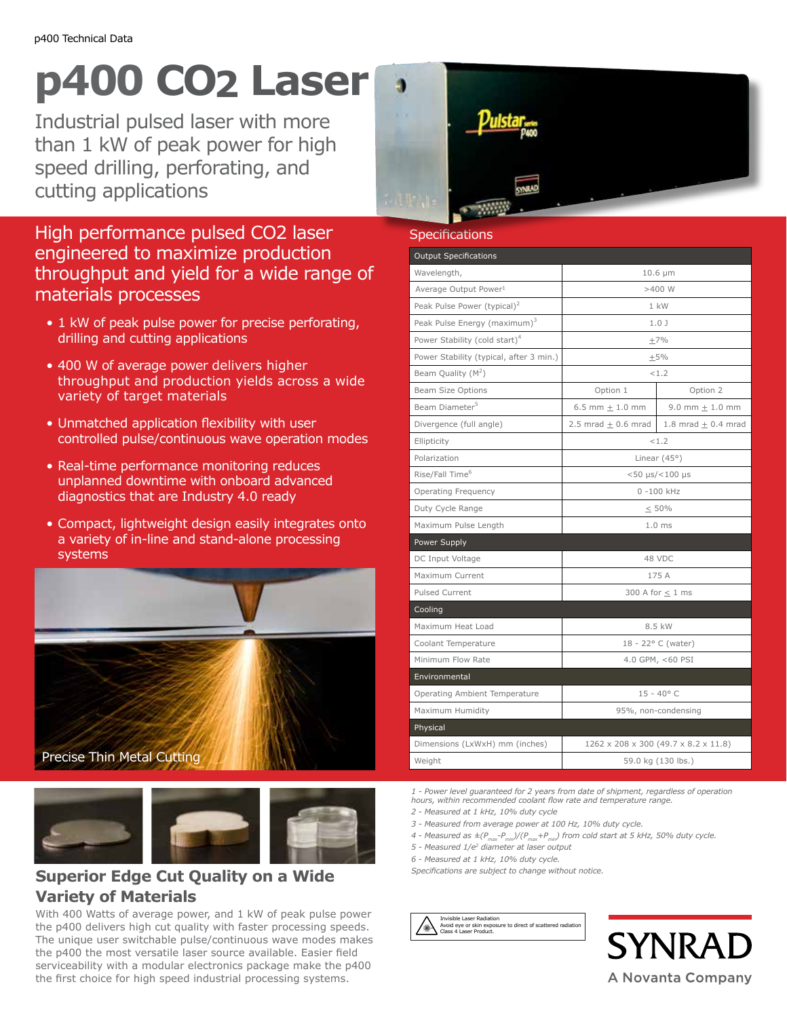## **p400 CO2 Laser**

Industrial pulsed laser with more than 1 kW of peak power for high speed drilling, perforating, and cutting applications

High performance pulsed CO2 laser engineered to maximize production throughput and yield for a wide range of materials processes

- 1 kW of peak pulse power for precise perforating, drilling and cutting applications
- 400 W of average power delivers higher throughput and production yields across a wide variety of target materials
- Unmatched application flexibility with user controlled pulse/continuous wave operation modes
- Real-time performance monitoring reduces unplanned downtime with onboard advanced diagnostics that are Industry 4.0 ready
- Compact, lightweight design easily integrates onto a variety of in-line and stand-alone processing systems



Precise Thin Metal Cutting



## **Superior Edge Cut Quality on a Wide Variety of Materials**

With 400 Watts of average power, and 1 kW of peak pulse power the p400 delivers high cut quality with faster processing speeds. The unique user switchable pulse/continuous wave modes makes the p400 the most versatile laser source available. Easier field serviceability with a modular electronics package make the p400 the first choice for high speed industrial processing systems.



| Specifications                            |                                                      |                         |
|-------------------------------------------|------------------------------------------------------|-------------------------|
| <b>Output Specifications</b>              |                                                      |                         |
| Wavelength,                               | $10.6 \mu m$                                         |                         |
| Average Output Power <sup>1</sup>         | >400W                                                |                         |
| Peak Pulse Power (typical) <sup>2</sup>   | 1 kW                                                 |                         |
| Peak Pulse Energy (maximum) <sup>3</sup>  | 1.0J                                                 |                         |
| Power Stability (cold start) <sup>4</sup> | $+7%$                                                |                         |
| Power Stability (typical, after 3 min.)   | $+5%$                                                |                         |
| Beam Quality $(M^2)$                      | < 1.2                                                |                         |
| <b>Beam Size Options</b>                  | Option 1                                             | Option 2                |
| Beam Diameter <sup>5</sup>                | 6.5 mm $\pm$ 1.0 mm                                  | 9.0 mm $\pm$ 1.0 mm     |
| Divergence (full angle)                   | $2.5$ mrad + 0.6 mrad                                | 1.8 mrad $\pm$ 0.4 mrad |
| Ellipticity                               | < 1.2                                                |                         |
| Polarization                              | Linear $(45°)$                                       |                         |
| Rise/Fall Time <sup>6</sup>               | $< 50 \text{ }\mu\text{s}/< 100 \text{ }\mu\text{s}$ |                         |
| <b>Operating Frequency</b>                | $0 - 100$ kHz                                        |                         |
| Duty Cycle Range                          | < 50%                                                |                         |
| Maximum Pulse Length                      | $1.0$ ms                                             |                         |
| Power Supply                              |                                                      |                         |
| DC Input Voltage                          | 48 VDC                                               |                         |
| Maximum Current                           | 175 A                                                |                         |
| Pulsed Current                            | 300 A for $\leq$ 1 ms                                |                         |
| Cooling                                   |                                                      |                         |
| Maximum Heat Load                         | 8.5 kW                                               |                         |
| Coolant Temperature                       | 18 - 22° C (water)                                   |                         |
| Minimum Flow Rate                         | 4.0 GPM, <60 PSI                                     |                         |
| Environmental                             |                                                      |                         |
| Operating Ambient Temperature             | $15 - 40^{\circ}$ C                                  |                         |
| Maximum Humidity                          | 95%, non-condensing                                  |                         |
| Physical                                  |                                                      |                         |
| Dimensions (LxWxH) mm (inches)            | 1262 x 208 x 300 (49.7 x 8.2 x 11.8)                 |                         |
| Weight                                    | 59.0 kg (130 lbs.)                                   |                         |

*1 - Power level guaranteed for 2 years from date of shipment, regardless of operation hours, within recommended coolant flow rate and temperature range.*

- *2 Measured at 1 kHz, 10% duty cycle*
- *3 Measured from average power at 100 Hz, 10% duty cycle.*
- *4 Measured as ±(Pmax-Pmin)/(Pmax+Pmin) from cold start at 5 kHz, 50% duty cycle.*
- *5 Measured 1/e2 diameter at laser output*
- *6 Measured at 1 kHz, 10% duty cycle.*

*Specifications are subject to change without notice.*